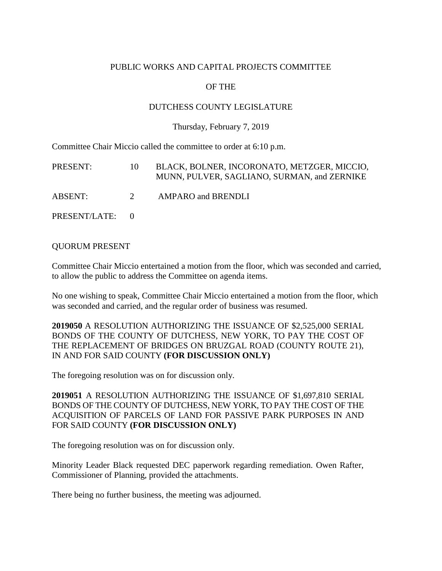## PUBLIC WORKS AND CAPITAL PROJECTS COMMITTEE

# OF THE

## DUTCHESS COUNTY LEGISLATURE

### Thursday, February 7, 2019

Committee Chair Miccio called the committee to order at 6:10 p.m.

| PRESENT:        | 10 <sup>1</sup> | BLACK, BOLNER, INCORONATO, METZGER, MICCIO,<br>MUNN, PULVER, SAGLIANO, SURMAN, and ZERNIKE |
|-----------------|-----------------|--------------------------------------------------------------------------------------------|
| ABSENT:         | $2^{\circ}$     | <b>AMPARO</b> and <b>BRENDLI</b>                                                           |
| PRESENT/LATE: 0 |                 |                                                                                            |

### QUORUM PRESENT

Committee Chair Miccio entertained a motion from the floor, which was seconded and carried, to allow the public to address the Committee on agenda items.

No one wishing to speak, Committee Chair Miccio entertained a motion from the floor, which was seconded and carried, and the regular order of business was resumed.

**2019050** A RESOLUTION AUTHORIZING THE ISSUANCE OF \$2,525,000 SERIAL BONDS OF THE COUNTY OF DUTCHESS, NEW YORK, TO PAY THE COST OF THE REPLACEMENT OF BRIDGES ON BRUZGAL ROAD (COUNTY ROUTE 21), IN AND FOR SAID COUNTY **(FOR DISCUSSION ONLY)**

The foregoing resolution was on for discussion only.

**2019051** A RESOLUTION AUTHORIZING THE ISSUANCE OF \$1,697,810 SERIAL BONDS OF THE COUNTY OF DUTCHESS, NEW YORK, TO PAY THE COST OF THE ACQUISITION OF PARCELS OF LAND FOR PASSIVE PARK PURPOSES IN AND FOR SAID COUNTY **(FOR DISCUSSION ONLY)**

The foregoing resolution was on for discussion only.

Minority Leader Black requested DEC paperwork regarding remediation. Owen Rafter, Commissioner of Planning, provided the attachments.

There being no further business, the meeting was adjourned.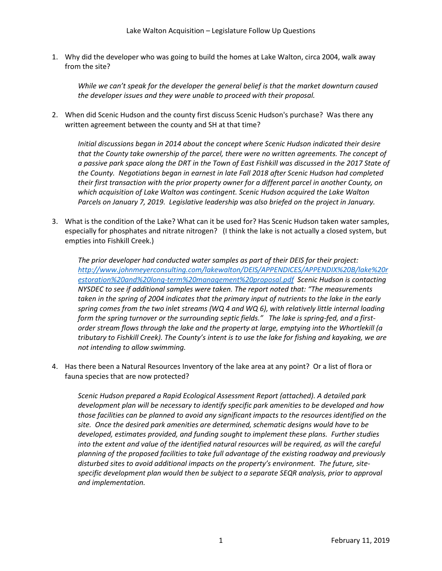1. Why did the developer who was going to build the homes at Lake Walton, circa 2004, walk away from the site?

*While we can't speak for the developer the general belief is that the market downturn caused the developer issues and they were unable to proceed with their proposal.* 

2. When did Scenic Hudson and the county first discuss Scenic Hudson's purchase? Was there any written agreement between the county and SH at that time?

*Initial discussions began in 2014 about the concept where Scenic Hudson indicated their desire that the County take ownership of the parcel, there were no written agreements. The concept of a passive park space along the DRT in the Town of East Fishkill was discussed in the 2017 State of the County. Negotiations began in earnest in late Fall 2018 after Scenic Hudson had completed their first transaction with the prior property owner for a different parcel in another County, on which acquisition of Lake Walton was contingent. Scenic Hudson acquired the Lake Walton Parcels on January 7, 2019. Legislative leadership was also briefed on the project in January.* 

3. What is the condition of the Lake? What can it be used for? Has Scenic Hudson taken water samples, especially for phosphates and nitrate nitrogen? (I think the lake is not actually a closed system, but empties into Fishkill Creek.)

*The prior developer had conducted water samples as part of their DEIS for their project: [http://www.johnmeyerconsulting.com/lakewalton/DEIS/APPENDICES/APPENDIX%20B/lake%20r](http://www.johnmeyerconsulting.com/lakewalton/DEIS/APPENDICES/APPENDIX%20B/lake%20restoration%20and%20long-term%20management%20proposal.pdf) [estoration%20and%20long-term%20management%20proposal.pdf](http://www.johnmeyerconsulting.com/lakewalton/DEIS/APPENDICES/APPENDIX%20B/lake%20restoration%20and%20long-term%20management%20proposal.pdf) Scenic Hudson is contacting NYSDEC to see if additional samples were taken. The report noted that: "The measurements taken in the spring of 2004 indicates that the primary input of nutrients to the lake in the early spring comes from the two inlet streams (WQ 4 and WQ 6), with relatively little internal loading form the spring turnover or the surrounding septic fields." The lake is spring-fed, and a firstorder stream flows through the lake and the property at large, emptying into the Whortlekill (a tributary to Fishkill Creek). The County's intent is to use the lake for fishing and kayaking, we are not intending to allow swimming.*

4. Has there been a Natural Resources Inventory of the lake area at any point? Or a list of flora or fauna species that are now protected?

*Scenic Hudson prepared a Rapid Ecological Assessment Report (attached). A detailed park development plan will be necessary to identify specific park amenities to be developed and how those facilities can be planned to avoid any significant impacts to the resources identified on the site. Once the desired park amenities are determined, schematic designs would have to be developed, estimates provided, and funding sought to implement these plans. Further studies*  into the extent and value of the identified natural resources will be required, as will the careful *planning of the proposed facilities to take full advantage of the existing roadway and previously disturbed sites to avoid additional impacts on the property's environment. The future, sitespecific development plan would then be subject to a separate SEQR analysis, prior to approval and implementation.*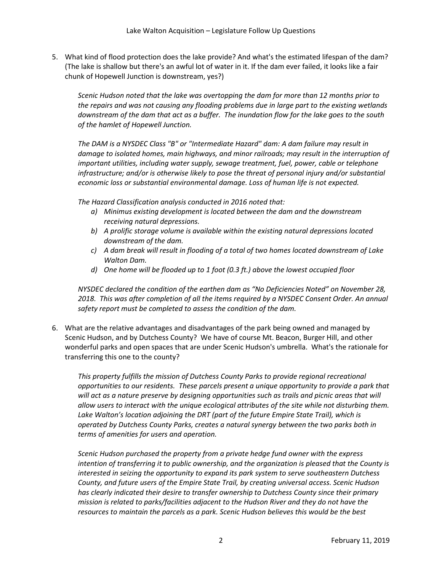5. What kind of flood protection does the lake provide? And what's the estimated lifespan of the dam? (The lake is shallow but there's an awful lot of water in it. If the dam ever failed, it looks like a fair chunk of Hopewell Junction is downstream, yes?)

*Scenic Hudson noted that the lake was overtopping the dam for more than 12 months prior to the repairs and was not causing any flooding problems due in large part to the existing wetlands downstream of the dam that act as a buffer. The inundation flow for the lake goes to the south of the hamlet of Hopewell Junction.*

*The DAM is a NYSDEC Class "B" or "Intermediate Hazard" dam: A dam failure may result in damage to isolated homes, main highways, and minor railroads; may result in the interruption of important utilities, including water supply, sewage treatment, fuel, power, cable or telephone infrastructure; and/or is otherwise likely to pose the threat of personal injury and/or substantial economic loss or substantial environmental damage. Loss of human life is not expected.*

*The Hazard Classification analysis conducted in 2016 noted that:* 

- *a) Minimus existing development is located between the dam and the downstream receiving natural depressions.*
- *b) A prolific storage volume is available within the existing natural depressions located downstream of the dam.*
- *c) A dam break will result in flooding of a total of two homes located downstream of Lake Walton Dam.*
- *d) One home will be flooded up to 1 foot (0.3 ft.) above the lowest occupied floor*

*NYSDEC declared the condition of the earthen dam as "No Deficiencies Noted" on November 28, 2018. This was after completion of all the items required by a NYSDEC Consent Order. An annual safety report must be completed to assess the condition of the dam.*

6. What are the relative advantages and disadvantages of the park being owned and managed by Scenic Hudson, and by Dutchess County? We have of course Mt. Beacon, Burger Hill, and other wonderful parks and open spaces that are under Scenic Hudson's umbrella. What's the rationale for transferring this one to the county?

*This property fulfills the mission of Dutchess County Parks to provide regional recreational opportunities to our residents. These parcels present a unique opportunity to provide a park that will act as a nature preserve by designing opportunities such as trails and picnic areas that will allow users to interact with the unique ecological attributes of the site while not disturbing them.*  Lake Walton's location adjoining the DRT (part of the future Empire State Trail), which is *operated by Dutchess County Parks, creates a natural synergy between the two parks both in terms of amenities for users and operation.*

*Scenic Hudson purchased the property from a private hedge fund owner with the express intention of transferring it to public ownership, and the organization is pleased that the County is interested in seizing the opportunity to expand its park system to serve southeastern Dutchess County, and future users of the Empire State Trail, by creating universal access. Scenic Hudson has clearly indicated their desire to transfer ownership to Dutchess County since their primary mission is related to parks/facilities adjacent to the Hudson River and they do not have the resources to maintain the parcels as a park. Scenic Hudson believes this would be the best*